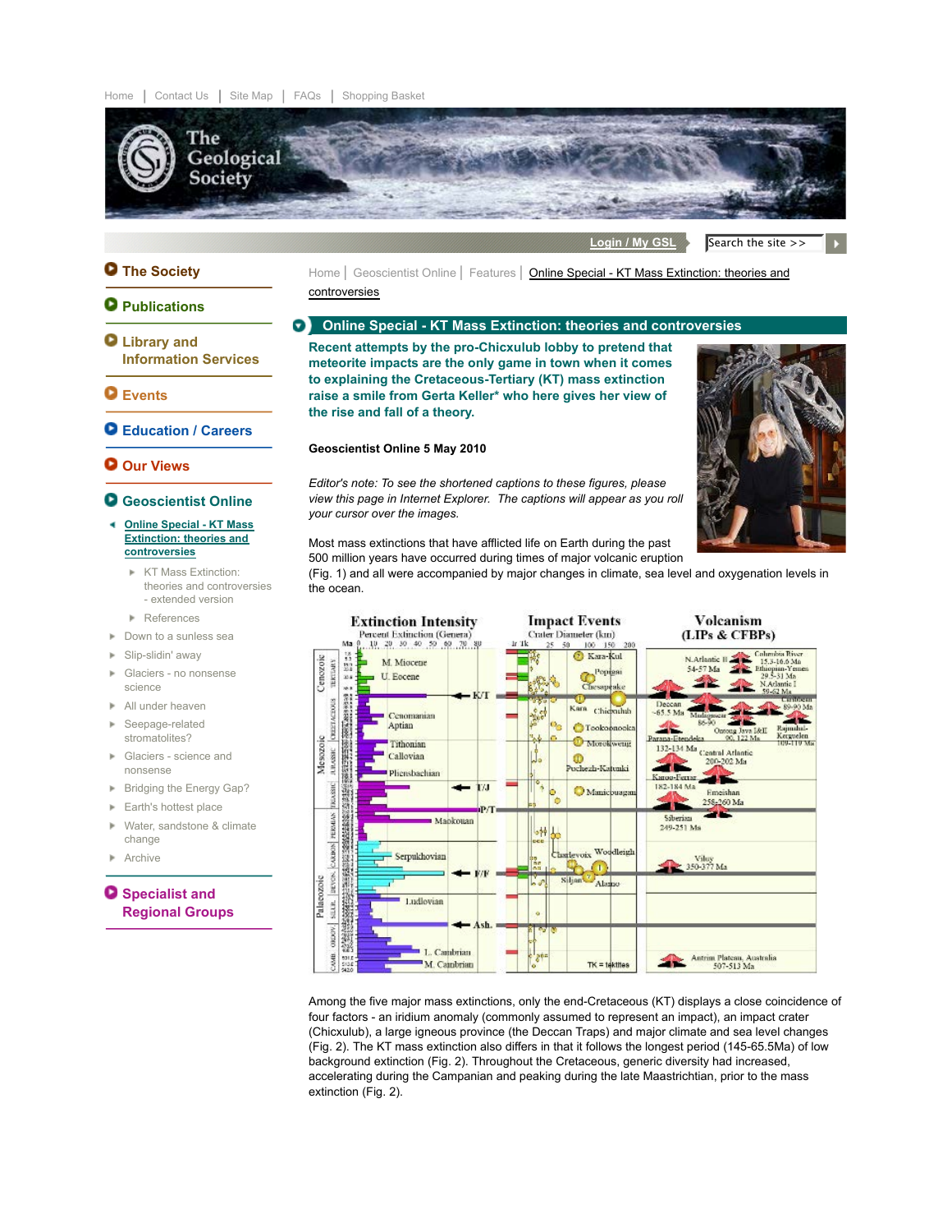

Login / My GSL Search the site >>

# **The Society**

# **Q** Publications

- **Library and Information Services**
- **Events**
- **Education / Careers**
- **Our Views**

### **Geoscientist Online**

- **Online Special KT Mass Extinction: theories and controversies**
	- **KT Mass Extinction:** theories and controversies - extended version
	- **References**
- Down to a sunless sea
- ► Slip-slidin' away
- Glaciers no nonsense science
- All under heaven
- Seepage-related ×. stromatolites?
- Glaciers science and × nonsense
- **Bridging the Energy Gap?**
- $\blacktriangleright$  Earth's hottest place
- Water, sandstone & climate change
- **Archive**

# **O** Specialist and **Regional Groups**

Home | Geoscientist Online | Features | Online Special - KT Mass Extinction: theories and controversies

#### **Online Special - KT Mass Extinction: theories and controversies**  $\bullet$

**Recent attempts by the pro-Chicxulub lobby to pretend that meteorite impacts are the only game in town when it comes to explaining the Cretaceous-Tertiary (KT) mass extinction raise a smile from Gerta Keller\* who here gives her view of the rise and fall of a theory.**

# **Geoscientist Online 5 May 2010**

*Editor's note: To see the shortened captions to these figures, please view this page in Internet Explorer. The captions will appear as you roll your cursor over the images.*



Most mass extinctions that have afflicted life on Earth during the past 500 million years have occurred during times of major volcanic eruption

(Fig. 1) and all were accompanied by major changes in climate, sea level and oxygenation levels in the ocean.



Among the five major mass extinctions, only the end-Cretaceous (KT) displays a close coincidence of four factors - an iridium anomaly (commonly assumed to represent an impact), an impact crater (Chicxulub), a large igneous province (the Deccan Traps) and major climate and sea level changes (Fig. 2). The KT mass extinction also differs in that it follows the longest period (145-65.5Ma) of low background extinction (Fig. 2). Throughout the Cretaceous, generic diversity had increased, accelerating during the Campanian and peaking during the late Maastrichtian, prior to the mass extinction (Fig. 2).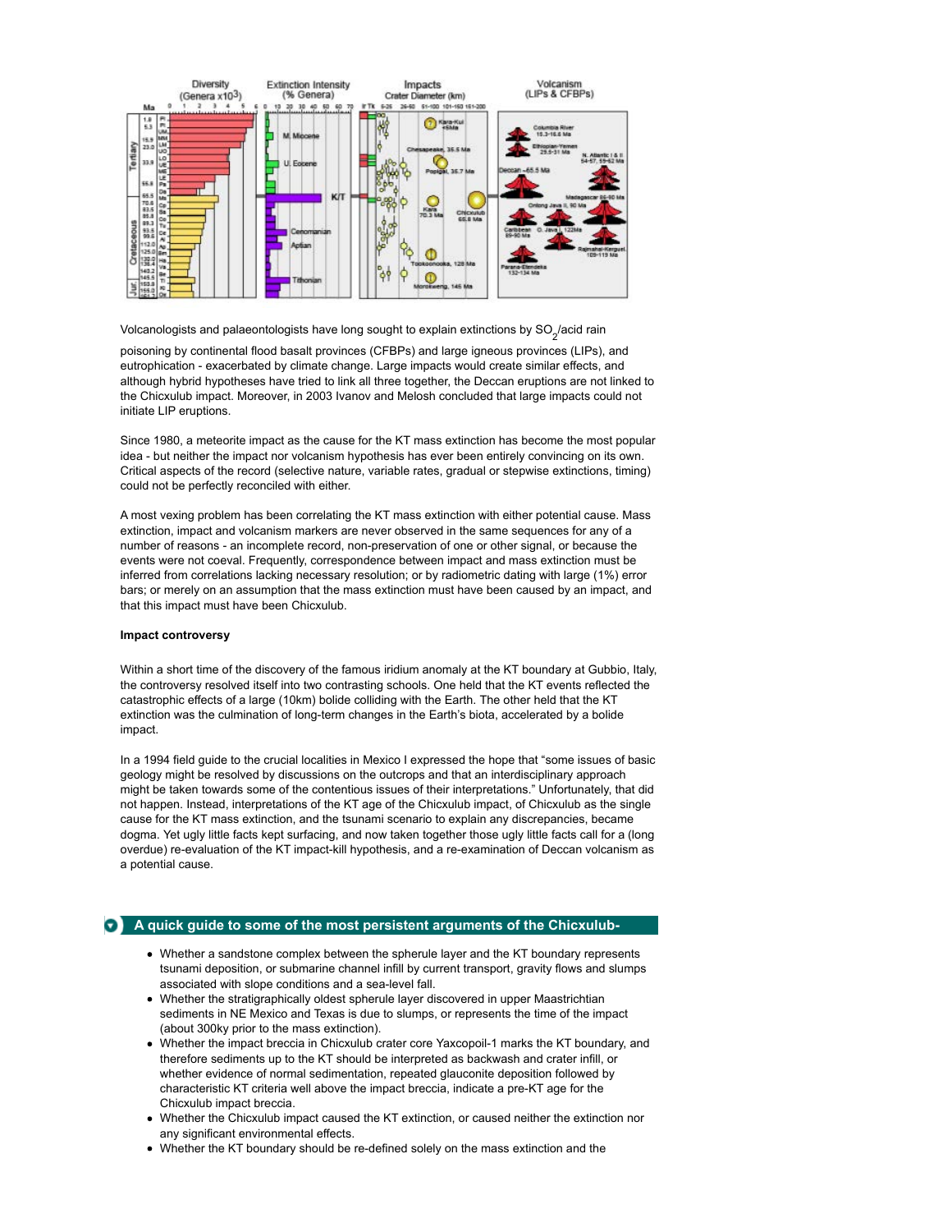

Volcanologists and palaeontologists have long sought to explain extinctions by SO $_2^{}$ /acid rain

poisoning by continental flood basalt provinces (CFBPs) and large igneous provinces (LIPs), and eutrophication - exacerbated by climate change. Large impacts would create similar effects, and although hybrid hypotheses have tried to link all three together, the Deccan eruptions are not linked to the Chicxulub impact. Moreover, in 2003 Ivanov and Melosh concluded that large impacts could not initiate LIP eruptions.

Since 1980, a meteorite impact as the cause for the KT mass extinction has become the most popular idea - but neither the impact nor volcanism hypothesis has ever been entirely convincing on its own. Critical aspects of the record (selective nature, variable rates, gradual or stepwise extinctions, timing) could not be perfectly reconciled with either.

A most vexing problem has been correlating the KT mass extinction with either potential cause. Mass extinction, impact and volcanism markers are never observed in the same sequences for any of a number of reasons - an incomplete record, non-preservation of one or other signal, or because the events were not coeval. Frequently, correspondence between impact and mass extinction must be inferred from correlations lacking necessary resolution; or by radiometric dating with large (1%) error bars; or merely on an assumption that the mass extinction must have been caused by an impact, and that this impact must have been Chicxulub.

# **Impact controversy**

Within a short time of the discovery of the famous iridium anomaly at the KT boundary at Gubbio, Italy, the controversy resolved itself into two contrasting schools. One held that the KT events reflected the catastrophic effects of a large (10km) bolide colliding with the Earth. The other held that the KT extinction was the culmination of long-term changes in the Earth's biota, accelerated by a bolide impact.

In a 1994 field guide to the crucial localities in Mexico I expressed the hope that "some issues of basic geology might be resolved by discussions on the outcrops and that an interdisciplinary approach might be taken towards some of the contentious issues of their interpretations." Unfortunately, that did not happen. Instead, interpretations of the KT age of the Chicxulub impact, of Chicxulub as the single cause for the KT mass extinction, and the tsunami scenario to explain any discrepancies, became dogma. Yet ugly little facts kept surfacing, and now taken together those ugly little facts call for a (long overdue) re-evaluation of the KT impact-kill hypothesis, and a re-examination of Deccan volcanism as a potential cause.

# **A quick guide to some of the most persistent arguments of the Chicxulub-**

- Whether a sandstone complex between the spherule layer and the KT boundary represents tsunami deposition, or submarine channel infill by current transport, gravity flows and slumps associated with slope conditions and a sea-level fall.
- Whether the stratigraphically oldest spherule layer discovered in upper Maastrichtian sediments in NE Mexico and Texas is due to slumps, or represents the time of the impact (about 300ky prior to the mass extinction).
- Whether the impact breccia in Chicxulub crater core Yaxcopoil-1 marks the KT boundary, and therefore sediments up to the KT should be interpreted as backwash and crater infill, or whether evidence of normal sedimentation, repeated glauconite deposition followed by characteristic KT criteria well above the impact breccia, indicate a pre-KT age for the Chicxulub impact breccia.
- Whether the Chicxulub impact caused the KT extinction, or caused neither the extinction nor any significant environmental effects.
- Whether the KT boundary should be re-defined solely on the mass extinction and the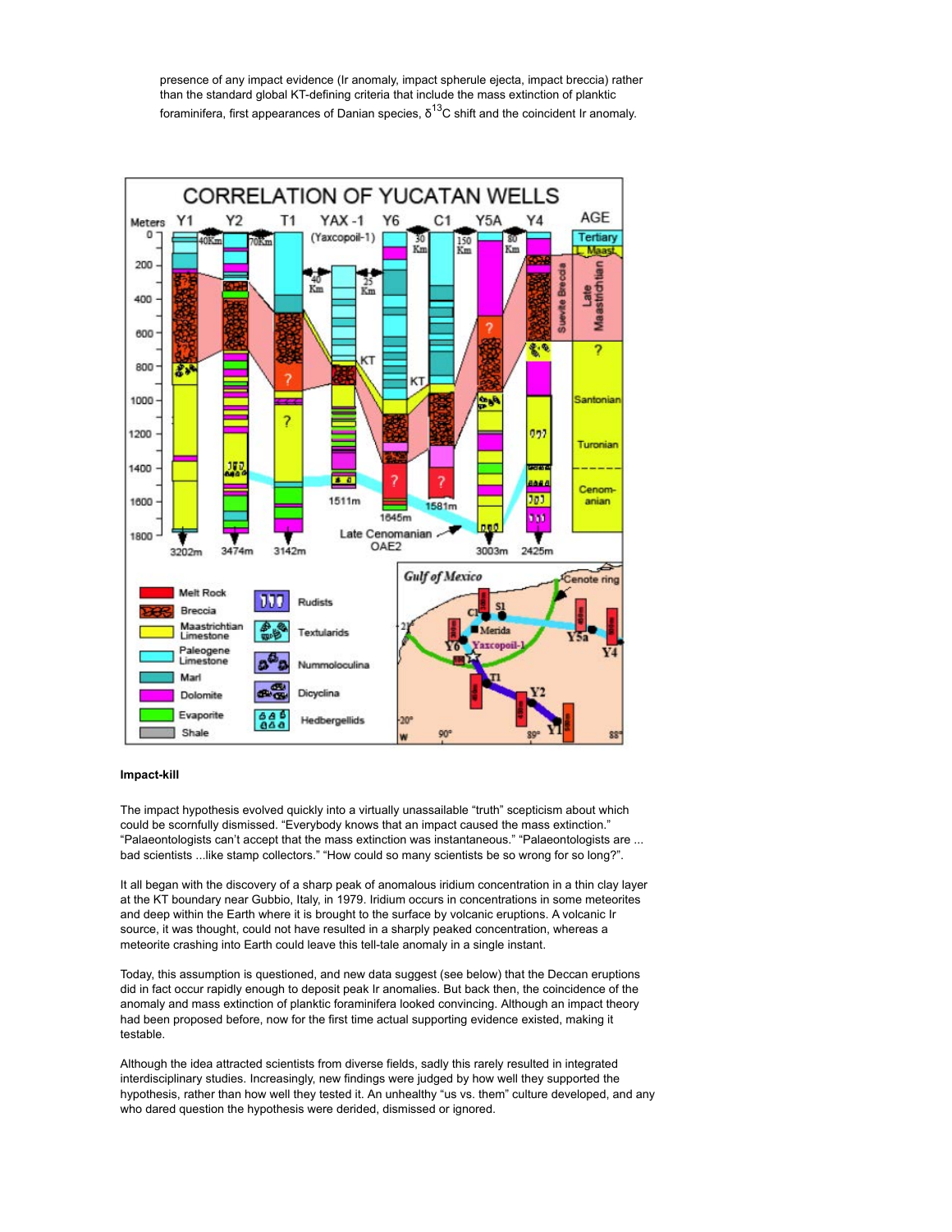presence of any impact evidence (Ir anomaly, impact spherule ejecta, impact breccia) rather than the standard global KT-defining criteria that include the mass extinction of planktic foraminifera, first appearances of Danian species,  $\delta^{13}$ C shift and the coincident Ir anomaly.



### **Impact-kill**

The impact hypothesis evolved quickly into a virtually unassailable "truth" scepticism about which could be scornfully dismissed. "Everybody knows that an impact caused the mass extinction." "Palaeontologists can't accept that the mass extinction was instantaneous." "Palaeontologists are ... bad scientists ...like stamp collectors." "How could so many scientists be so wrong for so long?".

It all began with the discovery of a sharp peak of anomalous iridium concentration in a thin clay layer at the KT boundary near Gubbio, Italy, in 1979. Iridium occurs in concentrations in some meteorites and deep within the Earth where it is brought to the surface by volcanic eruptions. A volcanic Ir source, it was thought, could not have resulted in a sharply peaked concentration, whereas a meteorite crashing into Earth could leave this tell-tale anomaly in a single instant.

Today, this assumption is questioned, and new data suggest (see below) that the Deccan eruptions did in fact occur rapidly enough to deposit peak Ir anomalies. But back then, the coincidence of the anomaly and mass extinction of planktic foraminifera looked convincing. Although an impact theory had been proposed before, now for the first time actual supporting evidence existed, making it testable.

Although the idea attracted scientists from diverse fields, sadly this rarely resulted in integrated interdisciplinary studies. Increasingly, new findings were judged by how well they supported the hypothesis, rather than how well they tested it. An unhealthy "us vs. them" culture developed, and any who dared question the hypothesis were derided, dismissed or ignored.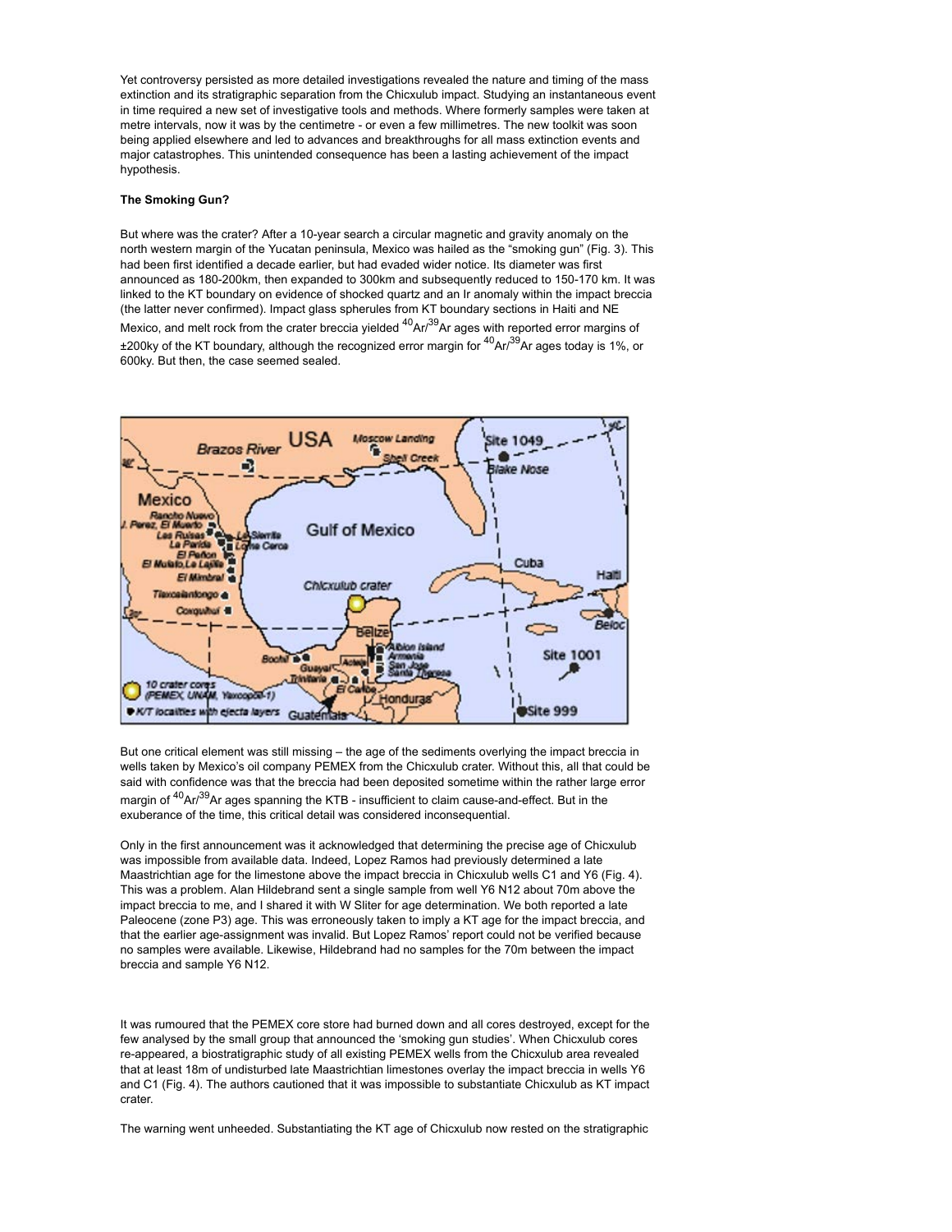Yet controversy persisted as more detailed investigations revealed the nature and timing of the mass extinction and its stratigraphic separation from the Chicxulub impact. Studying an instantaneous event in time required a new set of investigative tools and methods. Where formerly samples were taken at metre intervals, now it was by the centimetre - or even a few millimetres. The new toolkit was soon being applied elsewhere and led to advances and breakthroughs for all mass extinction events and major catastrophes. This unintended consequence has been a lasting achievement of the impact hypothesis.

# **The Smoking Gun?**

But where was the crater? After a 10-year search a circular magnetic and gravity anomaly on the north western margin of the Yucatan peninsula, Mexico was hailed as the "smoking gun" (Fig. 3). This had been first identified a decade earlier, but had evaded wider notice. Its diameter was first announced as 180-200km, then expanded to 300km and subsequently reduced to 150-170 km. It was linked to the KT boundary on evidence of shocked quartz and an Ir anomaly within the impact breccia (the latter never confirmed). Impact glass spherules from KT boundary sections in Haiti and NE Mexico, and melt rock from the crater breccia yielded <sup>40</sup>Ar/<sup>39</sup>Ar ages with reported error margins of ±200ky of the KT boundary, although the recognized error margin for 40Ar/39Ar ages today is 1%, or 600ky. But then, the case seemed sealed.



But one critical element was still missing – the age of the sediments overlying the impact breccia in wells taken by Mexico's oil company PEMEX from the Chicxulub crater. Without this, all that could be said with confidence was that the breccia had been deposited sometime within the rather large error margin of <sup>40</sup>Ar/<sup>39</sup>Ar ages spanning the KTB - insufficient to claim cause-and-effect. But in the exuberance of the time, this critical detail was considered inconsequential.

Only in the first announcement was it acknowledged that determining the precise age of Chicxulub was impossible from available data. Indeed, Lopez Ramos had previously determined a late Maastrichtian age for the limestone above the impact breccia in Chicxulub wells C1 and Y6 (Fig. 4). This was a problem. Alan Hildebrand sent a single sample from well Y6 N12 about 70m above the impact breccia to me, and I shared it with W Sliter for age determination. We both reported a late Paleocene (zone P3) age. This was erroneously taken to imply a KT age for the impact breccia, and that the earlier age-assignment was invalid. But Lopez Ramos' report could not be verified because no samples were available. Likewise, Hildebrand had no samples for the 70m between the impact breccia and sample Y6 N12.

It was rumoured that the PEMEX core store had burned down and all cores destroyed, except for the few analysed by the small group that announced the 'smoking gun studies'. When Chicxulub cores re-appeared, a biostratigraphic study of all existing PEMEX wells from the Chicxulub area revealed that at least 18m of undisturbed late Maastrichtian limestones overlay the impact breccia in wells Y6 and C1 (Fig. 4). The authors cautioned that it was impossible to substantiate Chicxulub as KT impact crater.

The warning went unheeded. Substantiating the KT age of Chicxulub now rested on the stratigraphic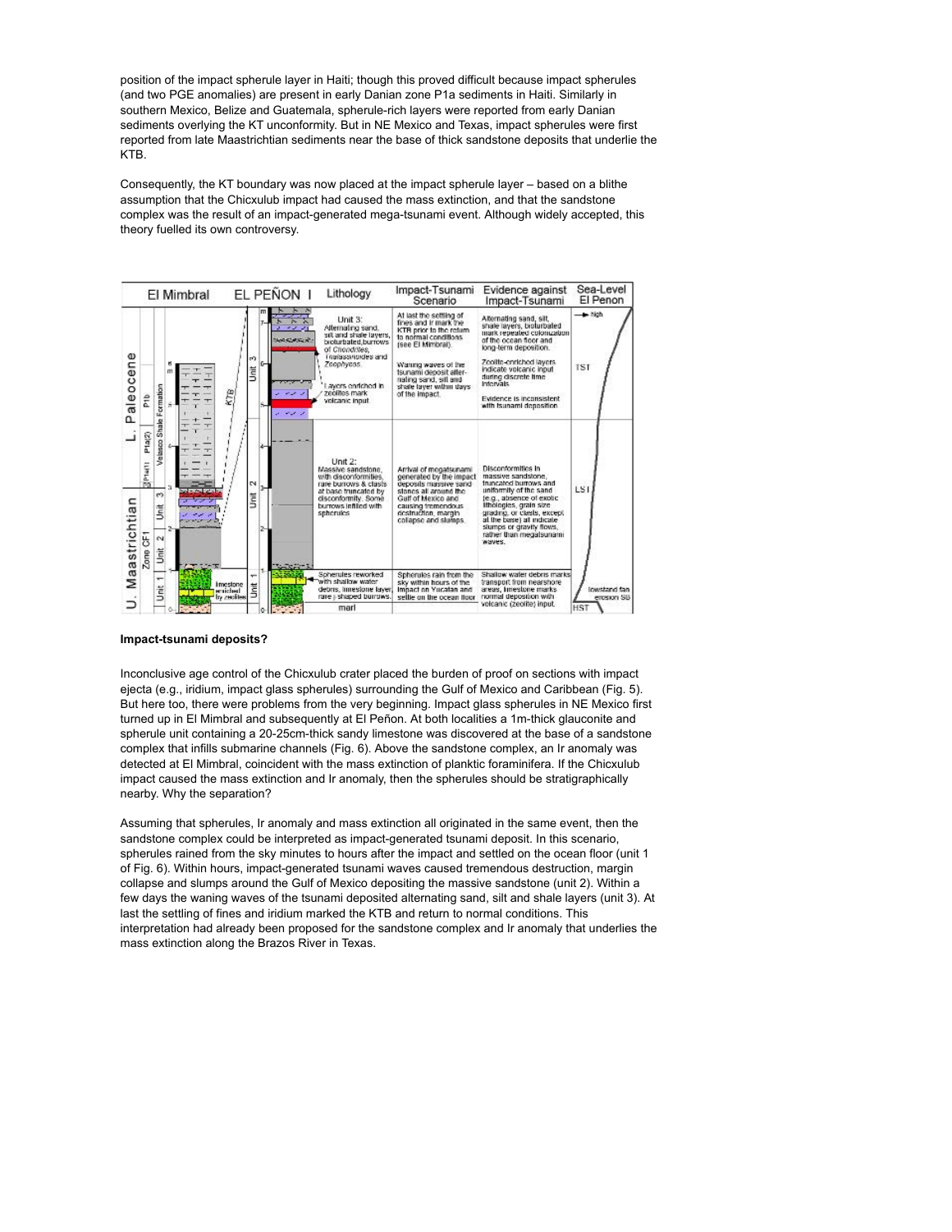position of the impact spherule layer in Haiti; though this proved difficult because impact spherules (and two PGE anomalies) are present in early Danian zone P1a sediments in Haiti. Similarly in southern Mexico, Belize and Guatemala, spherule-rich layers were reported from early Danian sediments overlying the KT unconformity. But in NE Mexico and Texas, impact spherules were first reported from late Maastrichtian sediments near the base of thick sandstone deposits that underlie the KTB.

Consequently, the KT boundary was now placed at the impact spherule layer – based on a blithe assumption that the Chicxulub impact had caused the mass extinction, and that the sandstone complex was the result of an impact-generated mega-tsunami event. Although widely accepted, this theory fuelled its own controversy.



#### **Impact-tsunami deposits?**

Inconclusive age control of the Chicxulub crater placed the burden of proof on sections with impact ejecta (e.g., iridium, impact glass spherules) surrounding the Gulf of Mexico and Caribbean (Fig. 5). But here too, there were problems from the very beginning. Impact glass spherules in NE Mexico first turned up in El Mimbral and subsequently at El Peñon. At both localities a 1m-thick glauconite and spherule unit containing a 20-25cm-thick sandy limestone was discovered at the base of a sandstone complex that infills submarine channels (Fig. 6). Above the sandstone complex, an Ir anomaly was detected at El Mimbral, coincident with the mass extinction of planktic foraminifera. If the Chicxulub impact caused the mass extinction and Ir anomaly, then the spherules should be stratigraphically nearby. Why the separation?

Assuming that spherules, Ir anomaly and mass extinction all originated in the same event, then the sandstone complex could be interpreted as impact-generated tsunami deposit. In this scenario, spherules rained from the sky minutes to hours after the impact and settled on the ocean floor (unit 1 of Fig. 6). Within hours, impact-generated tsunami waves caused tremendous destruction, margin collapse and slumps around the Gulf of Mexico depositing the massive sandstone (unit 2). Within a few days the waning waves of the tsunami deposited alternating sand, silt and shale layers (unit 3). At last the settling of fines and iridium marked the KTB and return to normal conditions. This interpretation had already been proposed for the sandstone complex and Ir anomaly that underlies the mass extinction along the Brazos River in Texas.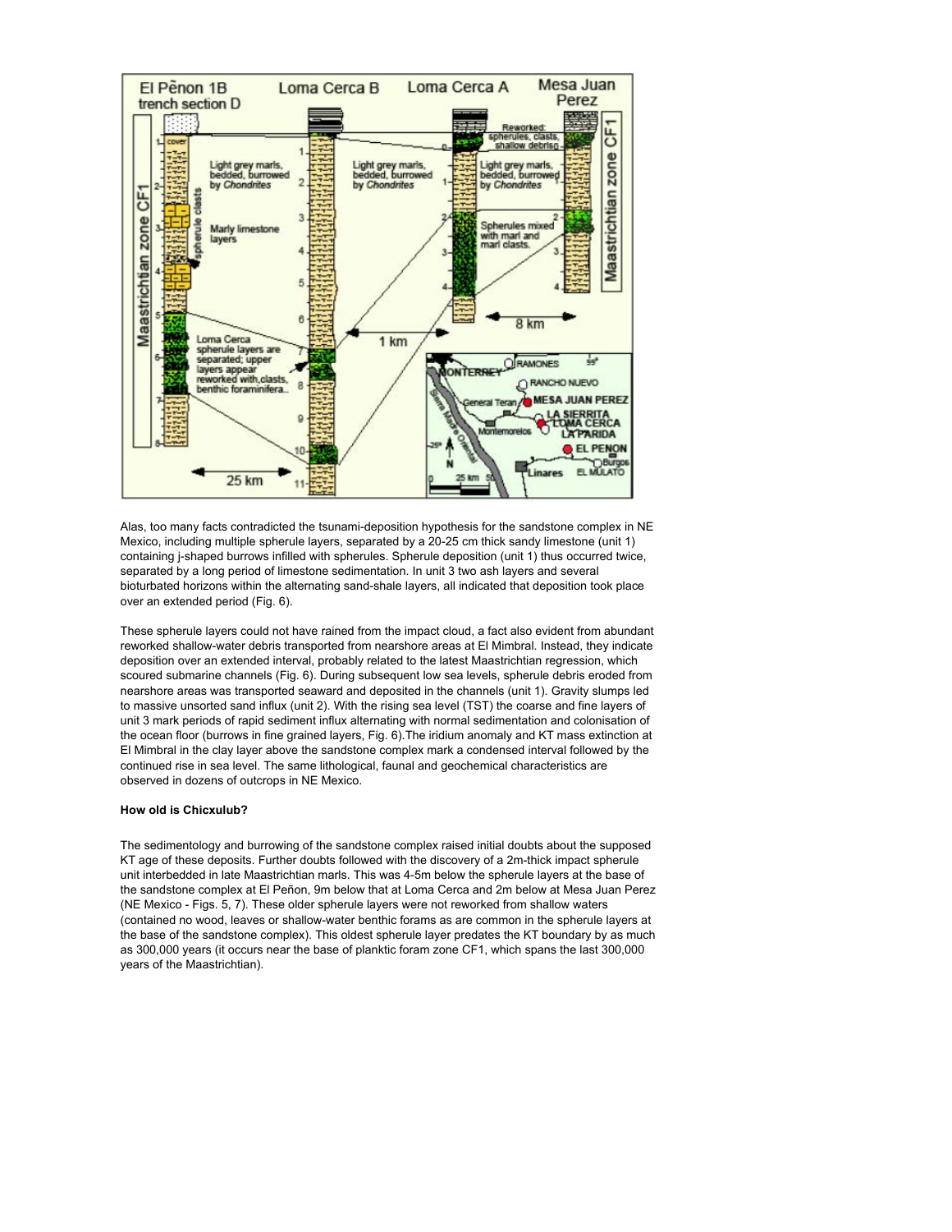

Alas, too many facts contradicted the tsunami-deposition hypothesis for the sandstone complex in NE Mexico, including multiple spherule layers, separated by a 20-25 cm thick sandy limestone (unit 1) containing j-shaped burrows infilled with spherules. Spherule deposition (unit 1) thus occurred twice, separated by a long period of limestone sedimentation. In unit 3 two ash layers and several bioturbated horizons within the alternating sand-shale layers, all indicated that deposition took place over an extended period (Fig. 6).

These spherule layers could not have rained from the impact cloud, a fact also evident from abundant reworked shallow-water debris transported from nearshore areas at El Mimbral. Instead, they indicate deposition over an extended interval, probably related to the latest Maastrichtian regression, which scoured submarine channels (Fig. 6). During subsequent low sea levels, spherule debris eroded from nearshore areas was transported seaward and deposited in the channels (unit 1). Gravity slumps led to massive unsorted sand influx (unit 2). With the rising sea level (TST) the coarse and fine layers of unit 3 mark periods of rapid sediment influx alternating with normal sedimentation and colonisation of the ocean floor (burrows in fine grained layers, Fig. 6).The iridium anomaly and KT mass extinction at El Mimbral in the clay layer above the sandstone complex mark a condensed interval followed by the continued rise in sea level. The same lithological, faunal and geochemical characteristics are observed in dozens of outcrops in NE Mexico.

# **How old is Chicxulub?**

The sedimentology and burrowing of the sandstone complex raised initial doubts about the supposed KT age of these deposits. Further doubts followed with the discovery of a 2m-thick impact spherule unit interbedded in late Maastrichtian marls. This was 4-5m below the spherule layers at the base of the sandstone complex at El Peñon, 9m below that at Loma Cerca and 2m below at Mesa Juan Perez (NE Mexico - Figs. 5, 7). These older spherule layers were not reworked from shallow waters (contained no wood, leaves or shallow-water benthic forams as are common in the spherule layers at the base of the sandstone complex). This oldest spherule layer predates the KT boundary by as much as 300,000 years (it occurs near the base of planktic foram zone CF1, which spans the last 300,000 years of the Maastrichtian).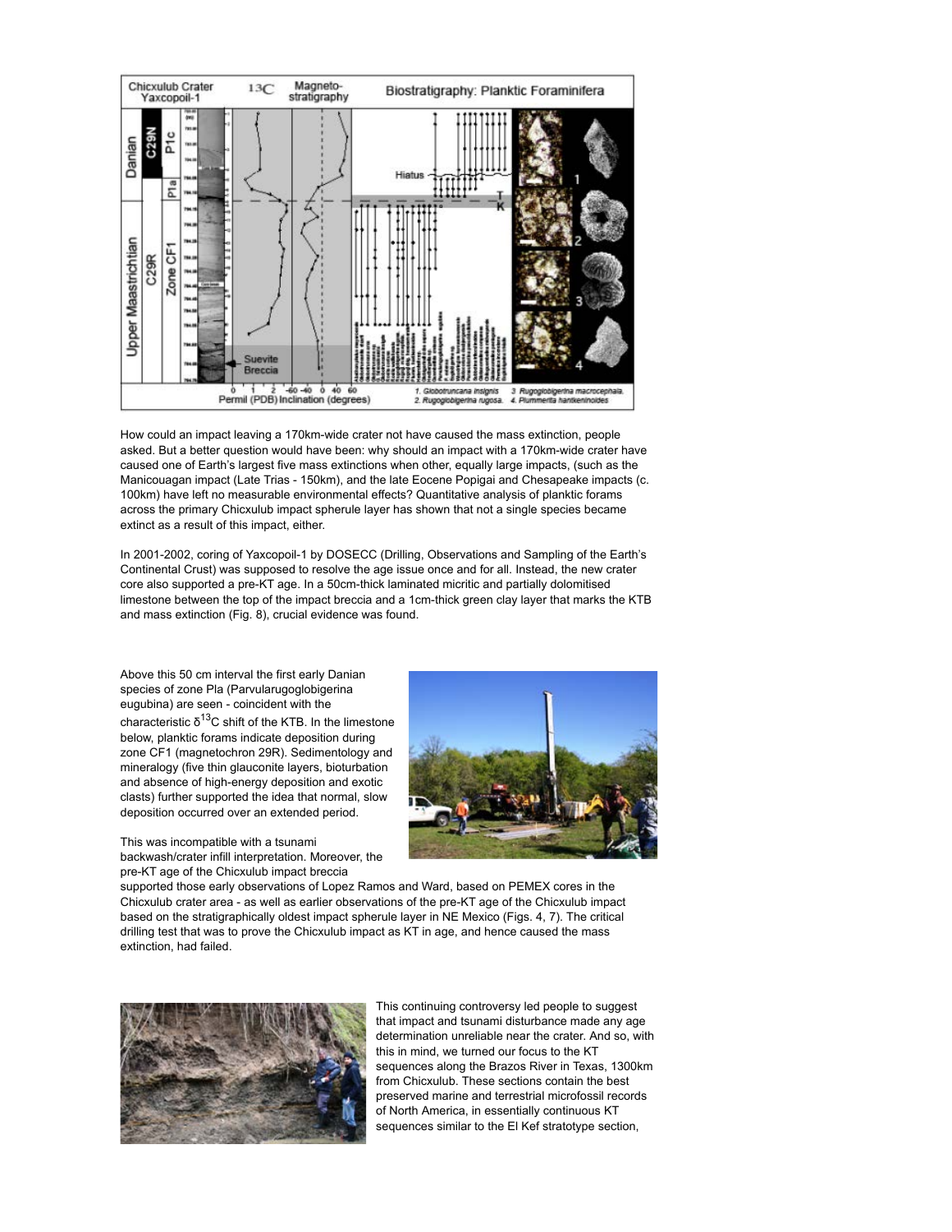

How could an impact leaving a 170km-wide crater not have caused the mass extinction, people asked. But a better question would have been: why should an impact with a 170km-wide crater have caused one of Earth's largest five mass extinctions when other, equally large impacts, (such as the Manicouagan impact (Late Trias - 150km), and the late Eocene Popigai and Chesapeake impacts (c. 100km) have left no measurable environmental effects? Quantitative analysis of planktic forams across the primary Chicxulub impact spherule layer has shown that not a single species became extinct as a result of this impact, either.

In 2001-2002, coring of Yaxcopoil-1 by DOSECC (Drilling, Observations and Sampling of the Earth's Continental Crust) was supposed to resolve the age issue once and for all. Instead, the new crater core also supported a pre-KT age. In a 50cm-thick laminated micritic and partially dolomitised limestone between the top of the impact breccia and a 1cm-thick green clay layer that marks the KTB and mass extinction (Fig. 8), crucial evidence was found.

Above this 50 cm interval the first early Danian species of zone Pla (Parvularugoglobigerina eugubina) are seen - coincident with the characteristic  $δ<sup>13</sup>C$  shift of the KTB. In the limestone below, planktic forams indicate deposition during zone CF1 (magnetochron 29R). Sedimentology and mineralogy (five thin glauconite layers, bioturbation and absence of high-energy deposition and exotic clasts) further supported the idea that normal, slow deposition occurred over an extended period.



This was incompatible with a tsunami backwash/crater infill interpretation. Moreover, the pre-KT age of the Chicxulub impact breccia

supported those early observations of Lopez Ramos and Ward, based on PEMEX cores in the Chicxulub crater area - as well as earlier observations of the pre-KT age of the Chicxulub impact based on the stratigraphically oldest impact spherule layer in NE Mexico (Figs. 4, 7). The critical drilling test that was to prove the Chicxulub impact as KT in age, and hence caused the mass extinction, had failed.



This continuing controversy led people to suggest that impact and tsunami disturbance made any age determination unreliable near the crater. And so, with this in mind, we turned our focus to the KT sequences along the Brazos River in Texas, 1300km from Chicxulub. These sections contain the best preserved marine and terrestrial microfossil records of North America, in essentially continuous KT sequences similar to the El Kef stratotype section,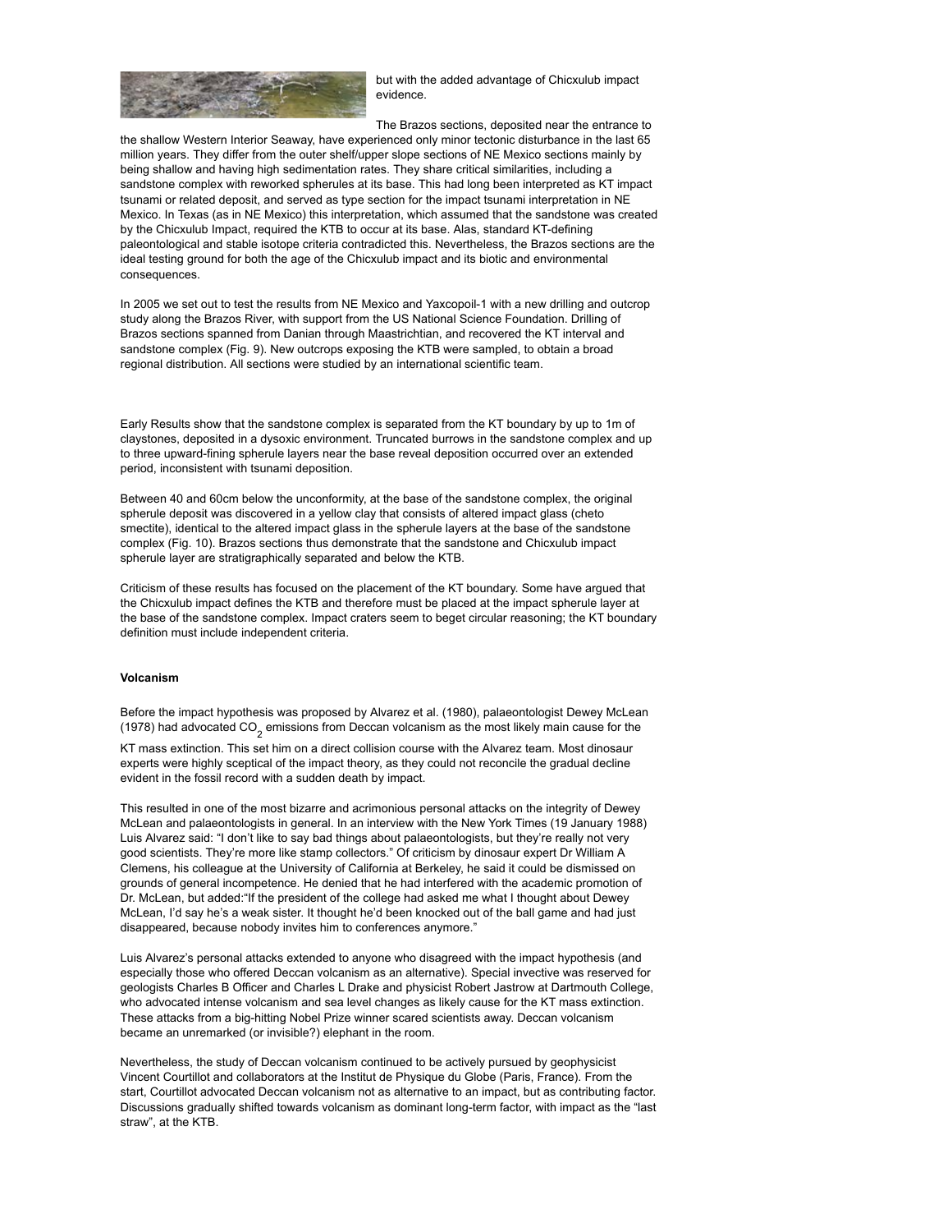

but with the added advantage of Chicxulub impact evidence.

The Brazos sections, deposited near the entrance to the shallow Western Interior Seaway, have experienced only minor tectonic disturbance in the last 65 million years. They differ from the outer shelf/upper slope sections of NE Mexico sections mainly by being shallow and having high sedimentation rates. They share critical similarities, including a sandstone complex with reworked spherules at its base. This had long been interpreted as KT impact tsunami or related deposit, and served as type section for the impact tsunami interpretation in NE Mexico. In Texas (as in NE Mexico) this interpretation, which assumed that the sandstone was created by the Chicxulub Impact, required the KTB to occur at its base. Alas, standard KT-defining paleontological and stable isotope criteria contradicted this. Nevertheless, the Brazos sections are the ideal testing ground for both the age of the Chicxulub impact and its biotic and environmental consequences.

In 2005 we set out to test the results from NE Mexico and Yaxcopoil-1 with a new drilling and outcrop study along the Brazos River, with support from the US National Science Foundation. Drilling of Brazos sections spanned from Danian through Maastrichtian, and recovered the KT interval and sandstone complex (Fig. 9). New outcrops exposing the KTB were sampled, to obtain a broad regional distribution. All sections were studied by an international scientific team.

Early Results show that the sandstone complex is separated from the KT boundary by up to 1m of claystones, deposited in a dysoxic environment. Truncated burrows in the sandstone complex and up to three upward-fining spherule layers near the base reveal deposition occurred over an extended period, inconsistent with tsunami deposition.

Between 40 and 60cm below the unconformity, at the base of the sandstone complex, the original spherule deposit was discovered in a yellow clay that consists of altered impact glass (cheto smectite), identical to the altered impact glass in the spherule layers at the base of the sandstone complex (Fig. 10). Brazos sections thus demonstrate that the sandstone and Chicxulub impact spherule layer are stratigraphically separated and below the KTB.

Criticism of these results has focused on the placement of the KT boundary. Some have argued that the Chicxulub impact defines the KTB and therefore must be placed at the impact spherule layer at the base of the sandstone complex. Impact craters seem to beget circular reasoning; the KT boundary definition must include independent criteria.

#### **Volcanism**

Before the impact hypothesis was proposed by Alvarez et al. (1980), palaeontologist Dewey McLean (1978) had advocated CO<sub>2</sub> emissions from Deccan volcanism as the most likely main cause for the

KT mass extinction. This set him on a direct collision course with the Alvarez team. Most dinosaur experts were highly sceptical of the impact theory, as they could not reconcile the gradual decline evident in the fossil record with a sudden death by impact.

This resulted in one of the most bizarre and acrimonious personal attacks on the integrity of Dewey McLean and palaeontologists in general. In an interview with the New York Times (19 January 1988) Luis Alvarez said: "I don't like to say bad things about palaeontologists, but they're really not very good scientists. They're more like stamp collectors." Of criticism by dinosaur expert Dr William A Clemens, his colleague at the University of California at Berkeley, he said it could be dismissed on grounds of general incompetence. He denied that he had interfered with the academic promotion of Dr. McLean, but added:"If the president of the college had asked me what I thought about Dewey McLean, I'd say he's a weak sister. It thought he'd been knocked out of the ball game and had just disappeared, because nobody invites him to conferences anymore."

Luis Alvarez's personal attacks extended to anyone who disagreed with the impact hypothesis (and especially those who offered Deccan volcanism as an alternative). Special invective was reserved for geologists Charles B Officer and Charles L Drake and physicist Robert Jastrow at Dartmouth College, who advocated intense volcanism and sea level changes as likely cause for the KT mass extinction. These attacks from a big-hitting Nobel Prize winner scared scientists away. Deccan volcanism became an unremarked (or invisible?) elephant in the room.

Nevertheless, the study of Deccan volcanism continued to be actively pursued by geophysicist Vincent Courtillot and collaborators at the Institut de Physique du Globe (Paris, France). From the start, Courtillot advocated Deccan volcanism not as alternative to an impact, but as contributing factor. Discussions gradually shifted towards volcanism as dominant long-term factor, with impact as the "last straw", at the KTB.